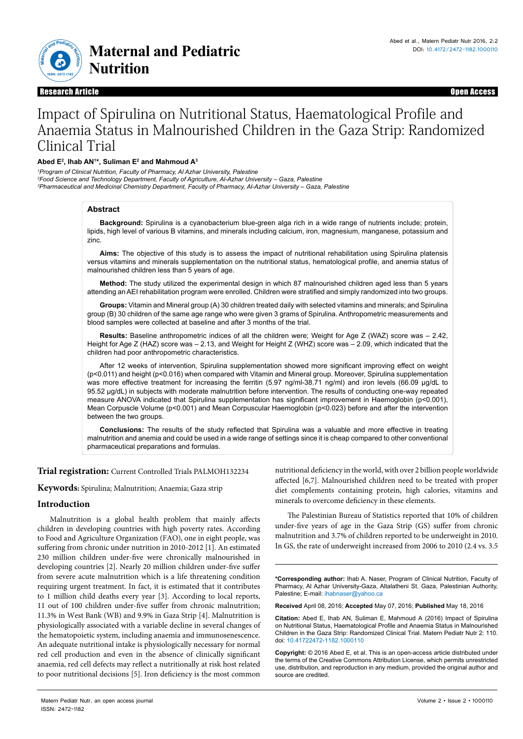

Research Article Open Access Research Article Open Access

# Impact of Spirulina on Nutritional Status, Haematological Profile and Anaemia Status in Malnourished Children in the Gaza Strip: Randomized Clinical Trial

# **Abed E2 , Ihab AN1 \*, Suliman E2 and Mahmoud A3**

<sup>1</sup> Program of Clinical Nutrition, Faculty of Pharmacy, Al Azhar University, Palestine *2 Food Science and Technology Department, Faculty of Agriculture, Al-Azhar University – Gaza, Palestine 3 Pharmaceutical and Medicinal Chemistry Department, Faculty of Pharmacy, Al-Azhar University – Gaza, Palestine*

# **Abstract**

**Background:** Spirulina is a cyanobacterium blue-green alga rich in a wide range of nutrients include; protein, lipids, high level of various B vitamins, and minerals including calcium, iron, magnesium, manganese, potassium and zinc.

**Aims:** The objective of this study is to assess the impact of nutritional rehabilitation using Spirulina platensis versus vitamins and minerals supplementation on the nutritional status, hematological profile, and anemia status of malnourished children less than 5 years of age.

**Method:** The study utilized the experimental design in which 87 malnourished children aged less than 5 years attending an AEI rehabilitation program were enrolled. Children were stratified and simply randomized into two groups.

**Groups:** Vitamin and Mineral group (A) 30 children treated daily with selected vitamins and minerals; and Spirulina group (B) 30 children of the same age range who were given 3 grams of Spirulina. Anthropometric measurements and blood samples were collected at baseline and after 3 months of the trial.

**Results:** Baseline anthropometric indices of all the children were; Weight for Age Z (WAZ) score was – 2.42, Height for Age Z (HAZ) score was – 2.13, and Weight for Height Z (WHZ) score was – 2.09, which indicated that the children had poor anthropometric characteristics.

After 12 weeks of intervention, Spirulina supplementation showed more significant improving effect on weight (p<0.011) and height (p<0.016) when compared with Vitamin and Mineral group. Moreover, Spirulina supplementation was more effective treatment for increasing the ferritin (5.97 ng/ml-38.71 ng/ml) and iron levels (66.09 µg/dL to 95.52 µg/dL) in subjects with moderate malnutrition before intervention. The results of conducting one-way repeated measure ANOVA indicated that Spirulina supplementation has significant improvement in Haemoglobin (p<0.001), Mean Corpuscle Volume (p<0.001) and Mean Corpuscular Haemoglobin (p<0.023) before and after the intervention between the two groups.

**Conclusions:** The results of the study reflected that Spirulina was a valuable and more effective in treating malnutrition and anemia and could be used in a wide range of settings since it is cheap compared to other conventional pharmaceutical preparations and formulas.

## **Trial registration:** Current Controlled Trials PALMOH132234

**Keywords:** Spirulina; Malnutrition; Anaemia; Gaza strip

# **Introduction**

Malnutrition is a global health problem that mainly affects children in developing countries with high poverty rates. According to Food and Agriculture Organization (FAO), one in eight people, was suffering from chronic under nutrition in 2010-2012 [1]. An estimated 230 million children under-five were chronically malnourished in developing countries [2]. Nearly 20 million children under-five suffer from severe acute malnutrition which is a life threatening condition requiring urgent treatment. In fact, it is estimated that it contributes to 1 million child deaths every year [3]. According to local reports, 11 out of 100 children under-five suffer from chronic malnutrition; 11.3% in West Bank (WB) and 9.9% in Gaza Strip [4]. Malnutrition is physiologically associated with a variable decline in several changes of the hematopoietic system, including anaemia and immunosenescence. An adequate nutritional intake is physiologically necessary for normal red cell production and even in the absence of clinically significant anaemia, red cell defects may reflect a nutritionally at risk host related to poor nutritional decisions [5]. Iron deficiency is the most common

nutritional deficiency in the world, with over 2 billion people worldwide affected [6,7]. Malnourished children need to be treated with proper diet complements containing protein, high calories, vitamins and minerals to overcome deficiency in these elements.

The Palestinian Bureau of Statistics reported that 10% of children under-five years of age in the Gaza Strip (GS) suffer from chronic malnutrition and 3.7% of children reported to be underweight in 2010. In GS, the rate of underweight increased from 2006 to 2010 (2.4 vs. 3.5

**\*Corresponding author:** Ihab A. Naser, Program of Clinical Nutrition, Faculty of Pharmacy, Al Azhar University-Gaza, Altalatheni St. Gaza, Palestinian Authority, Palestine; E-mail: ihabnaser@yahoo.ca

**Received** April 08, 2016; **Accepted** May 07, 2016; **Published** May 18, 2016

**Citation:** Abed E, Ihab AN, Suliman E, Mahmoud A (2016) Impact of Spirulina on Nutritional Status, Haematological Profile and Anaemia Status in Malnourished Children in the Gaza Strip: Randomized Clinical Trial. Matern Pediatr Nutr 2: 110. doi: 10.41722472-1182.1000110

**Copyright:** © 2016 Abed E, et al. This is an open-access article distributed under the terms of the Creative Commons Attribution License, which permits unrestricted use, distribution, and reproduction in any medium, provided the original author and source are credited.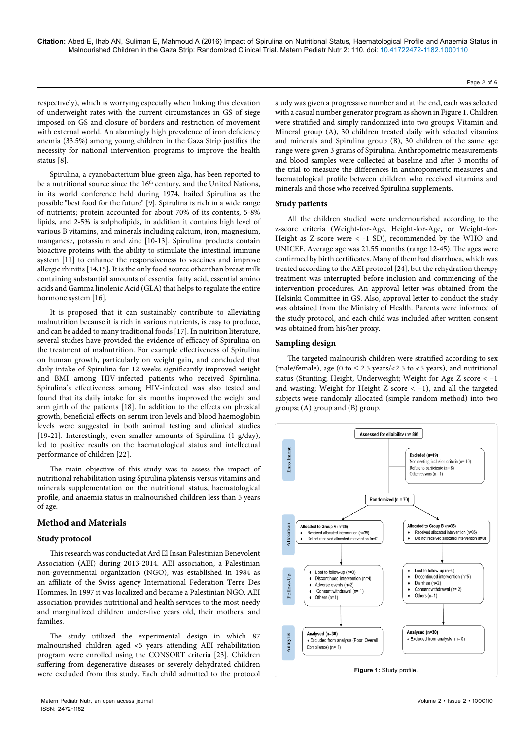Page 2 of 6

respectively), which is worrying especially when linking this elevation of underweight rates with the current circumstances in GS of siege imposed on GS and closure of borders and restriction of movement with external world. An alarmingly high prevalence of iron deficiency anemia (33.5%) among young children in the Gaza Strip justifies the necessity for national intervention programs to improve the health status [8].

Spirulina, a cyanobacterium blue-green alga, has been reported to be a nutritional source since the 16<sup>th</sup> century, and the United Nations, in its world conference held during 1974, hailed Spirulina as the possible "best food for the future" [9]. Spirulina is rich in a wide range of nutrients; protein accounted for about 70% of its contents, 5-8% lipids, and 2-5% is sulpholipids, in addition it contains high level of various B vitamins, and minerals including calcium, iron, magnesium, manganese, potassium and zinc [10-13]. Spirulina products contain bioactive proteins with the ability to stimulate the intestinal immune system [11] to enhance the responsiveness to vaccines and improve allergic rhinitis [14,15]. It is the only food source other than breast milk containing substantial amounts of essential fatty acid, essential amino acids and Gamma linolenic Acid (GLA) that helps to regulate the entire hormone system [16].

It is proposed that it can sustainably contribute to alleviating malnutrition because it is rich in various nutrients, is easy to produce, and can be added to many traditional foods [17]. In nutrition literature, several studies have provided the evidence of efficacy of Spirulina on the treatment of malnutrition. For example effectiveness of Spirulina on human growth, particularly on weight gain, and concluded that daily intake of Spirulina for 12 weeks significantly improved weight and BMI among HIV-infected patients who received Spirulina. Spirulina's effectiveness among HIV-infected was also tested and found that its daily intake for six months improved the weight and arm girth of the patients [18]. In addition to the effects on physical growth, beneficial effects on serum iron levels and blood haemoglobin levels were suggested in both animal testing and clinical studies [19-21]. Interestingly, even smaller amounts of Spirulina (1 g/day), led to positive results on the haematological status and intellectual performance of children [22].

The main objective of this study was to assess the impact of nutritional rehabilitation using Spirulina platensis versus vitamins and minerals supplementation on the nutritional status, haematological profile, and anaemia status in malnourished children less than 5 years of age.

# **Method and Materials**

## **Study protocol**

This research was conducted at Ard El Insan Palestinian Benevolent Association (AEI) during 2013-2014. AEI association, a Palestinian non-governmental organization (NGO), was established in 1984 as an affiliate of the Swiss agency International Federation Terre Des Hommes. In 1997 it was localized and became a Palestinian NGO. AEI association provides nutritional and health services to the most needy and marginalized children under-five years old, their mothers, and families.

The study utilized the experimental design in which 87 malnourished children aged ˂5 years attending AEI rehabilitation program were enrolled using the CONSORT criteria [23]. Children suffering from degenerative diseases or severely dehydrated children were excluded from this study. Each child admitted to the protocol

Matern Pediatr Nutr, an open access journal Volume 2 • Issue 2 • 1000110 ISSN: 2472-1182

study was given a progressive number and at the end, each was selected with a casual number generator program as shown in Figure 1. Children were stratified and simply randomized into two groups: Vitamin and Mineral group (A), 30 children treated daily with selected vitamins and minerals and Spirulina group (B), 30 children of the same age range were given 3 grams of Spirulina. Anthropometric measurements and blood samples were collected at baseline and after 3 months of the trial to measure the differences in anthropometric measures and haematological profile between children who received vitamins and minerals and those who received Spirulina supplements.

## **Study patients**

All the children studied were undernourished according to the z-score criteria (Weight-for-Age, Height-for-Age, or Weight-for-Height as Z-score were < -1 SD), recommended by the WHO and UNICEF. Average age was 21.55 months (range 12-45). The ages were confirmed by birth certificates. Many of them had diarrhoea, which was treated according to the AEI protocol [24], but the rehydration therapy treatment was interrupted before inclusion and commencing of the intervention procedures. An approval letter was obtained from the Helsinki Committee in GS. Also, approval letter to conduct the study was obtained from the Ministry of Health. Parents were informed of the study protocol, and each child was included after written consent was obtained from his/her proxy.

# **Sampling design**

The targeted malnourish children were stratified according to sex (male/female), age (0 to  $\leq$  2.5 years/<2.5 to <5 years), and nutritional status (Stunting; Height, Underweight; Weight for Age Z score < –1 and wasting; Weight for Height Z score  $<-1$ ), and all the targeted subjects were randomly allocated (simple random method) into two groups; (A) group and (B) group.

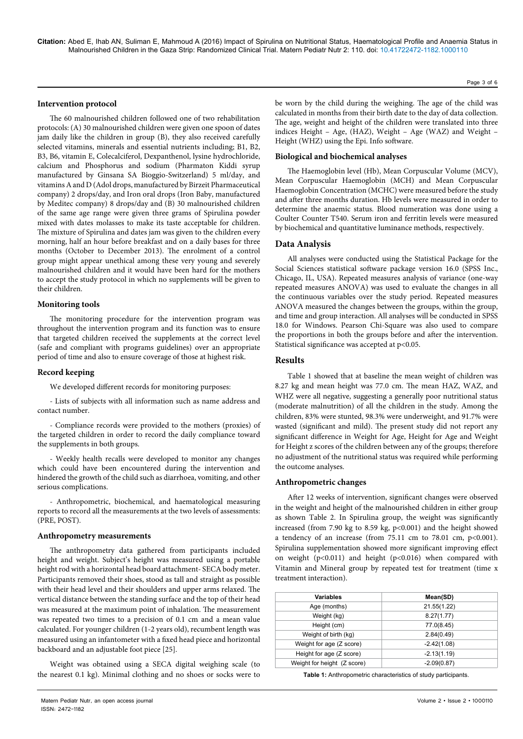# **Intervention protocol**

The 60 malnourished children followed one of two rehabilitation protocols: (A) 30 malnourished children were given one spoon of dates jam daily like the children in group (B), they also received carefully selected vitamins, minerals and essential nutrients including; B1, B2, B3, B6, vitamin E, Colecalciferol, Dexpanthenol, lysine hydrochloride, calcium and Phosphorus and sodium (Pharmaton Kiddi syrup manufactured by Ginsana SA Bioggio-Switzerland) 5 ml/day, and vitamins A and D (Adol drops, manufactured by Birzeit Pharmaceutical company) 2 drops/day, and Iron oral drops (Iron Baby, manufactured by Meditec company) 8 drops/day and (B) 30 malnourished children of the same age range were given three grams of Spirulina powder mixed with dates molasses to make its taste acceptable for children. The mixture of Spirulina and dates jam was given to the children every morning, half an hour before breakfast and on a daily bases for three months (October to December 2013). The enrolment of a control group might appear unethical among these very young and severely malnourished children and it would have been hard for the mothers to accept the study protocol in which no supplements will be given to their children.

#### **Monitoring tools**

The monitoring procedure for the intervention program was throughout the intervention program and its function was to ensure that targeted children received the supplements at the correct level (safe and compliant with programs guidelines) over an appropriate period of time and also to ensure coverage of those at highest risk.

#### **Record keeping**

We developed different records for monitoring purposes:

- Lists of subjects with all information such as name address and contact number.

- Compliance records were provided to the mothers (proxies) of the targeted children in order to record the daily compliance toward the supplements in both groups.

- Weekly health recalls were developed to monitor any changes which could have been encountered during the intervention and hindered the growth of the child such as diarrhoea, vomiting, and other serious complications.

- Anthropometric, biochemical, and haematological measuring reports to record all the measurements at the two levels of assessments: (PRE, POST).

#### **Anthropometry measurements**

The anthropometry data gathered from participants included height and weight. Subject's height was measured using a portable height rod with a horizontal head board attachment- SECA body meter. Participants removed their shoes, stood as tall and straight as possible with their head level and their shoulders and upper arms relaxed. The vertical distance between the standing surface and the top of their head was measured at the maximum point of inhalation. The measurement was repeated two times to a precision of 0.1 cm and a mean value calculated. For younger children (1-2 years old), recumbent length was measured using an infantometer with a fixed head piece and horizontal backboard and an adjustable foot piece [25].

Weight was obtained using a SECA digital weighing scale (to the nearest 0.1 kg). Minimal clothing and no shoes or socks were to be worn by the child during the weighing. The age of the child was calculated in months from their birth date to the day of data collection. The age, weight and height of the children were translated into three indices Height – Age, (HAZ), Weight – Age (WAZ) and Weight – Height (WHZ) using the Epi. Info software.

#### **Biological and biochemical analyses**

The Haemoglobin level (Hb), Mean Corpuscular Volume (MCV), Mean Corpuscular Haemoglobin (MCH) and Mean Corpuscular Haemoglobin Concentration (MCHC) were measured before the study and after three months duration. Hb levels were measured in order to determine the anaemic status. Blood numeration was done using a Coulter Counter T540. Serum iron and ferritin levels were measured by biochemical and quantitative luminance methods, respectively.

# **Data Analysis**

All analyses were conducted using the Statistical Package for the Social Sciences statistical software package version 16.0 (SPSS Inc., Chicago, IL, USA). Repeated measures analysis of variance (one-way repeated measures ANOVA) was used to evaluate the changes in all the continuous variables over the study period. Repeated measures ANOVA measured the changes between the groups, within the group, and time and group interaction. All analyses will be conducted in SPSS 18.0 for Windows. Pearson Chi-Square was also used to compare the proportions in both the groups before and after the intervention. Statistical significance was accepted at p<0.05.

# **Results**

Table 1 showed that at baseline the mean weight of children was 8.27 kg and mean height was 77.0 cm. The mean HAZ, WAZ, and WHZ were all negative, suggesting a generally poor nutritional status (moderate malnutrition) of all the children in the study. Among the children, 83% were stunted, 98.3% were underweight, and 91.7% were wasted (significant and mild). The present study did not report any significant difference in Weight for Age, Height for Age and Weight for Height z scores of the children between any of the groups; therefore no adjustment of the nutritional status was required while performing the outcome analyses.

## **Anthropometric changes**

After 12 weeks of intervention, significant changes were observed in the weight and height of the malnourished children in either group as shown Table 2. In Spirulina group, the weight was significantly increased (from 7.90 kg to 8.59 kg, p<0.001) and the height showed a tendency of an increase (from  $75.11$  cm to  $78.01$  cm,  $p<0.001$ ). Spirulina supplementation showed more significant improving effect on weight (p<0.011) and height (p<0.016) when compared with Vitamin and Mineral group by repeated test for treatment (time x treatment interaction).

| <b>Variables</b>            | Mean(SD)      |
|-----------------------------|---------------|
| Age (months)                | 21.55(1.22)   |
| Weight (kg)                 | 8.27(1.77)    |
| Height (cm)                 | 77.0(8.45)    |
| Weight of birth (kg)        | 2.84(0.49)    |
| Weight for age (Z score)    | $-2.42(1.08)$ |
| Height for age (Z score)    | $-2.13(1.19)$ |
| Weight for height (Z score) | $-2.09(0.87)$ |

**Table 1:** Anthropometric characteristics of study participants.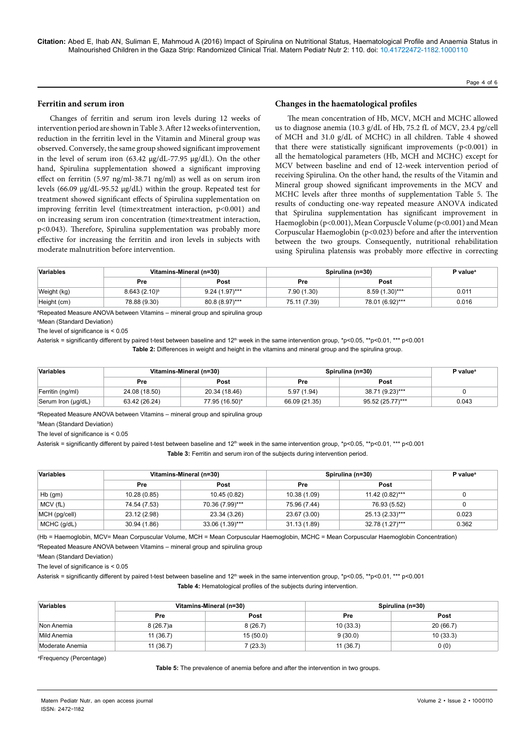#### Page 4 of 6

# **Ferritin and serum iron**

Changes of ferritin and serum iron levels during 12 weeks of intervention period are shown in Table 3. After 12 weeks of intervention, reduction in the ferritin level in the Vitamin and Mineral group was observed. Conversely, the same group showed significant improvement in the level of serum iron (63.42 µg/dL-77.95 µg/dL). On the other hand, Spirulina supplementation showed a significant improving effect on ferritin (5.97 ng/ml-38.71 ng/ml) as well as on serum iron levels (66.09 µg/dL-95.52 µg/dL) within the group. Repeated test for treatment showed significant effects of Spirulina supplementation on improving ferritin level (time×treatment interaction, p<0.001) and on increasing serum iron concentration (time×treatment interaction, p<0.043). Therefore, Spirulina supplementation was probably more effective for increasing the ferritin and iron levels in subjects with moderate malnutrition before intervention.

## **Changes in the haematological profiles**

The mean concentration of Hb, MCV, MCH and MCHC allowed us to diagnose anemia (10.3 g/dL of Hb, 75.2 fL of MCV, 23.4 pg/cell of MCH and 31.0 g/dL of MCHC) in all children. Table 4 showed that there were statistically significant improvements  $(p<0.001)$  in all the hematological parameters (Hb, MCH and MCHC) except for MCV between baseline and end of 12-week intervention period of receiving Spirulina. On the other hand, the results of the Vitamin and Mineral group showed significant improvements in the MCV and MCHC levels after three months of supplementation Table 5. The results of conducting one-way repeated measure ANOVA indicated that Spirulina supplementation has significant improvement in Haemoglobin (p<0.001), Mean Corpuscle Volume (p<0.001) and Mean Corpuscular Haemoglobin (p<0.023) before and after the intervention between the two groups. Consequently, nutritional rehabilitation using Spirulina platensis was probably more effective in correcting

| Variables   | Vitamins-Mineral (n=30) |                  | Spirulina (n=30) |                  | P value <sup>a</sup> |
|-------------|-------------------------|------------------|------------------|------------------|----------------------|
|             | Pre                     | Post             | Pre              | Post             |                      |
| Weight (kg) | $8.643(2.10)^b$         | $9.24(1.97)$ *** | 7.90 (1.30)      | $8.59(1.30)$ *** | 0.011                |
| Height (cm) | 78.88 (9.30)            | 80.8 (8.97)***   | 75.11 (7.39)     | 78.01 (6.92)***  | 0.016                |

a Repeated Measure ANOVA between Vitamins – mineral group and spirulina group

b Mean (Standard Deviation)

The level of significance is < 0.05

Asterisk = significantly different by paired t-test between baseline and 12<sup>th</sup> week in the same intervention group, \*p<0.05, \*\*p<0.01, \*\*\* p<0.001 **Table 2:** Differences in weight and height in the vitamins and mineral group and the spirulina group.

| Variables          | Vitamins-Mineral (n=30) |                | Spirulina (n=30) |                  | P value <sup>a</sup> |
|--------------------|-------------------------|----------------|------------------|------------------|----------------------|
|                    | Pre                     | Post           | Pre              | Post             |                      |
| Ferritin (ng/ml)   | 24.08 (18.50)           | 20.34 (18.46)  | 5.97 (1.94)      | 38.71 (9.23)***  |                      |
| Serum Iron (µg/dL) | 63.42 (26.24)           | 77.95 (16.50)* | 66.09 (21.35)    | 95.52 (25.77)*** | 0.043                |

a Repeated Measure ANOVA between Vitamins – mineral group and spirulina group

b Mean (Standard Deviation)

The level of significance is  $< 0.05$ 

Asterisk = significantly different by paired t-test between baseline and  $12<sup>th</sup>$  week in the same intervention group, \*p<0.05, \*\*p<0.01, \*\*\* p<0.001

**Table 3:** Ferritin and serum iron of the subjects during intervention period.

| Variables     | Vitamins-Mineral (n=30) |                 | Spirulina (n=30) |                 | P value <sup>a</sup> |
|---------------|-------------------------|-----------------|------------------|-----------------|----------------------|
|               | Pre                     | Post            | Pre              | Post            |                      |
| $Hb$ (gm)     | 10.28 (0.85)            | 10.45 (0.82)    | 10.38 (1.09)     | 11.42 (0.82)*** |                      |
| MCV (fL)      | 74.54 (7.53)            | 70.36 (7.99)*** | 75.96 (7.44)     | 76.93 (5.52)    |                      |
| MCH (pg/cell) | 23.12 (2.98)            | 23.34 (3.26)    | 23.67 (3.00)     | 25.13 (2.33)*** | 0.023                |
| MCHC (g/dL)   | 30.94 (1.86)            | 33.06 (1.39)*** | 31.13 (1.89)     | 32.78 (1.27)*** | 0.362                |

(Hb = Haemoglobin, MCV= Mean Corpuscular Volume, MCH = Mean Corpuscular Haemoglobin, MCHC = Mean Corpuscular Haemoglobin Concentration) a Repeated Measure ANOVA between Vitamins – mineral group and spirulina group

b Mean (Standard Deviation)

The level of significance is  $< 0.05$ 

Asterisk = significantly different by paired t-test between baseline and 12<sup>th</sup> week in the same intervention group, \*p<0.05, \*\*p<0.01, \*\*\* p<0.001

**Table 4:** Hematological profiles of the subjects during intervention.

| Variables       |            | Vitamins-Mineral (n=30) |          | Spirulina (n=30) |  |
|-----------------|------------|-------------------------|----------|------------------|--|
|                 | <b>Pre</b> | Post                    | Pre      | Post             |  |
| Non Anemia      | 8(26.7)a   | 8(26.7)                 | 10(33.3) | 20(66.7)         |  |
| Mild Anemia     | 11(36.7)   | 15(50.0)                | 9(30.0)  | 10(33.3)         |  |
| Moderate Anemia | 11(36.7)   | 7(23.3)                 | 11(36.7) | 0(0)             |  |

a Frequency (Percentage)

**Table 5:** The prevalence of anemia before and after the intervention in two groups.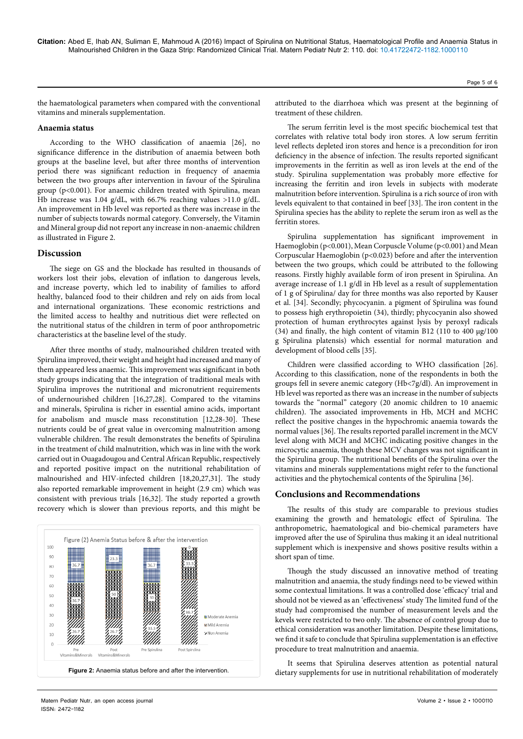the haematological parameters when compared with the conventional vitamins and minerals supplementation.

# **Anaemia status**

According to the WHO classification of anaemia [26], no significance difference in the distribution of anaemia between both groups at the baseline level, but after three months of intervention period there was significant reduction in frequency of anaemia between the two groups after intervention in favour of the Spirulina group (p<0.001). For anaemic children treated with Spirulina, mean Hb increase was 1.04 g/dL, with 66.7% reaching values >11.0 g/dL. An improvement in Hb level was reported as there was increase in the number of subjects towards normal category. Conversely, the Vitamin and Mineral group did not report any increase in non-anaemic children as illustrated in Figure 2.

# **Discussion**

The siege on GS and the blockade has resulted in thousands of workers lost their jobs, elevation of inflation to dangerous levels, and increase poverty, which led to inability of families to afford healthy, balanced food to their children and rely on aids from local and international organizations. These economic restrictions and the limited access to healthy and nutritious diet were reflected on the nutritional status of the children in term of poor anthropometric characteristics at the baseline level of the study.

After three months of study, malnourished children treated with Spirulina improved, their weight and height had increased and many of them appeared less anaemic. This improvement was significant in both study groups indicating that the integration of traditional meals with Spirulina improves the nutritional and micronutrient requirements of undernourished children [16,27,28]. Compared to the vitamins and minerals, Spirulina is richer in essential amino acids, important for anabolism and muscle mass reconstitution [12,28-30]. These nutrients could be of great value in overcoming malnutrition among vulnerable children. The result demonstrates the benefits of Spirulina in the treatment of child malnutrition, which was in line with the work carried out in Ouagadougou and Central African Republic, respectively and reported positive impact on the nutritional rehabilitation of malnourished and HIV-infected children [18,20,27,31]. The study also reported remarkable improvement in height (2.9 cm) which was consistent with previous trials [16,32]. The study reported a growth recovery which is slower than previous reports, and this might be



The serum ferritin level is the most specific biochemical test that correlates with relative total body iron stores. A low serum ferritin level reflects depleted iron stores and hence is a precondition for iron deficiency in the absence of infection. The results reported significant improvements in the ferritin as well as iron levels at the end of the study. Spirulina supplementation was probably more effective for increasing the ferritin and iron levels in subjects with moderate malnutrition before intervention. Spirulina is a rich source of iron with levels equivalent to that contained in beef [33]. The iron content in the Spirulina species has the ability to replete the serum iron as well as the ferritin stores.

Spirulina supplementation has significant improvement in Haemoglobin (p<0.001), Mean Corpuscle Volume (p<0.001) and Mean Corpuscular Haemoglobin (p<0.023) before and after the intervention between the two groups, which could be attributed to the following reasons. Firstly highly available form of iron present in Spirulina. An average increase of 1.1 g/dl in Hb level as a result of supplementation of 1 g of Spirulina/ day for three months was also reported by Kauser et al. [34]. Secondly; phycocyanin. a pigment of Spirulina was found to possess high erythropoietin (34), thirdly; phycocyanin also showed protection of human erythrocytes against lysis by peroxyl radicals (34) and finally, the high content of vitamin B12 (110 to 400 µg/100 g Spirulina platensis) which essential for normal maturation and development of blood cells [35].

Children were classified according to WHO classification [26]. According to this classification, none of the respondents in both the groups fell in severe anemic category (Hb<7g/dl). An improvement in Hb level was reported as there was an increase in the number of subjects towards the "normal" category (20 anomic children to 10 anaemic children). The associated improvements in Hb, MCH and MCHC reflect the positive changes in the hypochromic anaemia towards the normal values [36]. The results reported parallel increment in the MCV level along with MCH and MCHC indicating positive changes in the microcytic anaemia, though these MCV changes was not significant in the Spirulina group. The nutritional benefits of the Spirulina over the vitamins and minerals supplementations might refer to the functional activities and the phytochemical contents of the Spirulina [36].

# **Conclusions and Recommendations**

The results of this study are comparable to previous studies examining the growth and hematologic effect of Spirulina. The anthropometric, haematological and bio-chemical parameters have improved after the use of Spirulina thus making it an ideal nutritional supplement which is inexpensive and shows positive results within a short span of time.

Though the study discussed an innovative method of treating malnutrition and anaemia, the study findings need to be viewed within some contextual limitations. It was a controlled dose 'efficacy' trial and should not be viewed as an 'effectiveness' study The limited fund of the study had compromised the number of measurement levels and the kevels were restricted to two only. The absence of control group due to ethical consideration was another limitation. Despite these limitations, we find it safe to conclude that Spirulina supplementation is an effective procedure to treat malnutrition and anaemia.

It seems that Spirulina deserves attention as potential natural Figure 2: Anaemia status before and after the intervention. **Figure 2: Analy 1999** and  $\frac{1}{2}$  Figure 2: Anaemia status before and after the intervention.